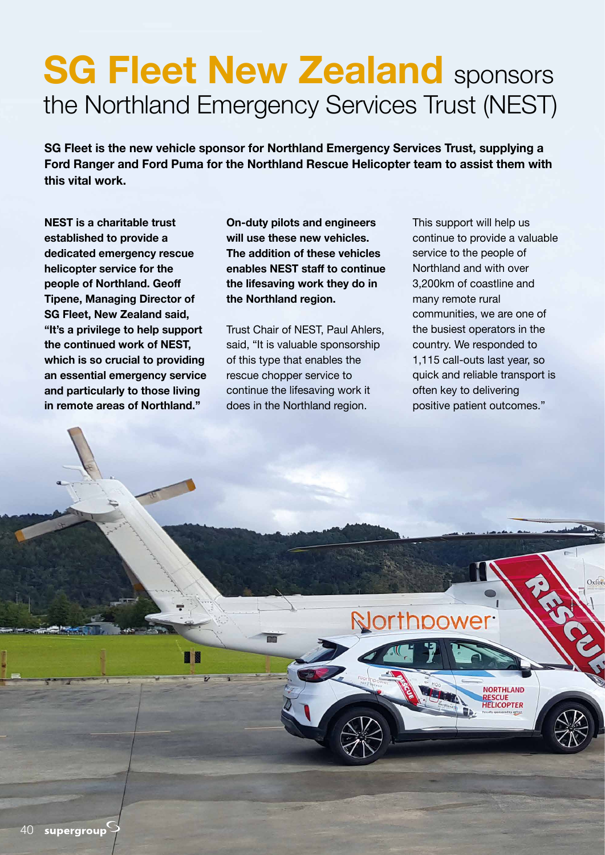## **SG Fleet New Zealand sponsors** the Northland Emergency Services Trust (NEST)

**SG Fleet is the new vehicle sponsor for Northland Emergency Services Trust, supplying a Ford Ranger and Ford Puma for the Northland Rescue Helicopter team to assist them with this vital work.** 

**NEST is a charitable trust established to provide a dedicated emergency rescue helicopter service for the people of Northland. Geoff Tipene, Managing Director of SG Fleet, New Zealand said, "It's a privilege to help support the continued work of NEST, which is so crucial to providing an essential emergency service and particularly to those living in remote areas of Northland."** 

**On-duty pilots and engineers will use these new vehicles. The addition of these vehicles enables NEST staff to continue the lifesaving work they do in the Northland region.**

Trust Chair of NEST, Paul Ahlers, said, "It is valuable sponsorship of this type that enables the rescue chopper service to continue the lifesaving work it does in the Northland region.

This support will help us continue to provide a valuable service to the people of Northland and with over 3,200km of coastline and many remote rural communities, we are one of the busiest operators in the country. We responded to 1,115 call-outs last year, so quick and reliable transport is often key to delivering positive patient outcomes."

> **NORTHLAND RESCUE<br>HELICOPTER**